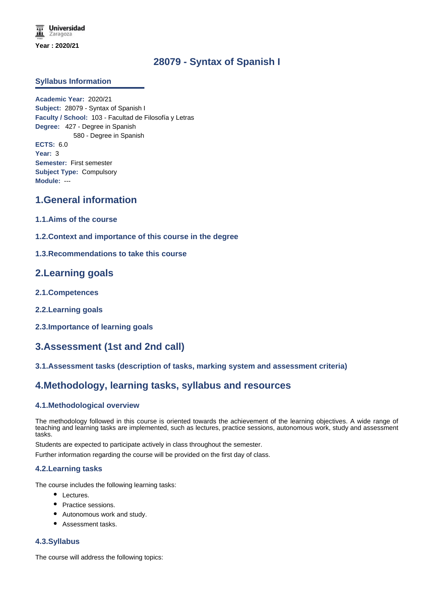# **28079 - Syntax of Spanish I**

# **Syllabus Information**

**Academic Year:** 2020/21 **Subject:** 28079 - Syntax of Spanish I **Faculty / School:** 103 - Facultad de Filosofía y Letras **Degree:** 427 - Degree in Spanish 580 - Degree in Spanish **ECTS:** 6.0 **Year:** 3 **Semester:** First semester **Subject Type:** Compulsory **Module:** ---

# **1.General information**

- **1.1.Aims of the course**
- **1.2.Context and importance of this course in the degree**
- **1.3.Recommendations to take this course**

# **2.Learning goals**

- **2.1.Competences**
- **2.2.Learning goals**
- **2.3.Importance of learning goals**

# **3.Assessment (1st and 2nd call)**

# **3.1.Assessment tasks (description of tasks, marking system and assessment criteria)**

# **4.Methodology, learning tasks, syllabus and resources**

# **4.1.Methodological overview**

The methodology followed in this course is oriented towards the achievement of the learning objectives. A wide range of teaching and learning tasks are implemented, such as lectures, practice sessions, autonomous work, study and assessment tasks.

Students are expected to participate actively in class throughout the semester.

Further information regarding the course will be provided on the first day of class.

# **4.2.Learning tasks**

The course includes the following learning tasks:

- Lectures.
- Practice sessions.
- Autonomous work and study.
- Assessment tasks.

# **4.3.Syllabus**

The course will address the following topics: